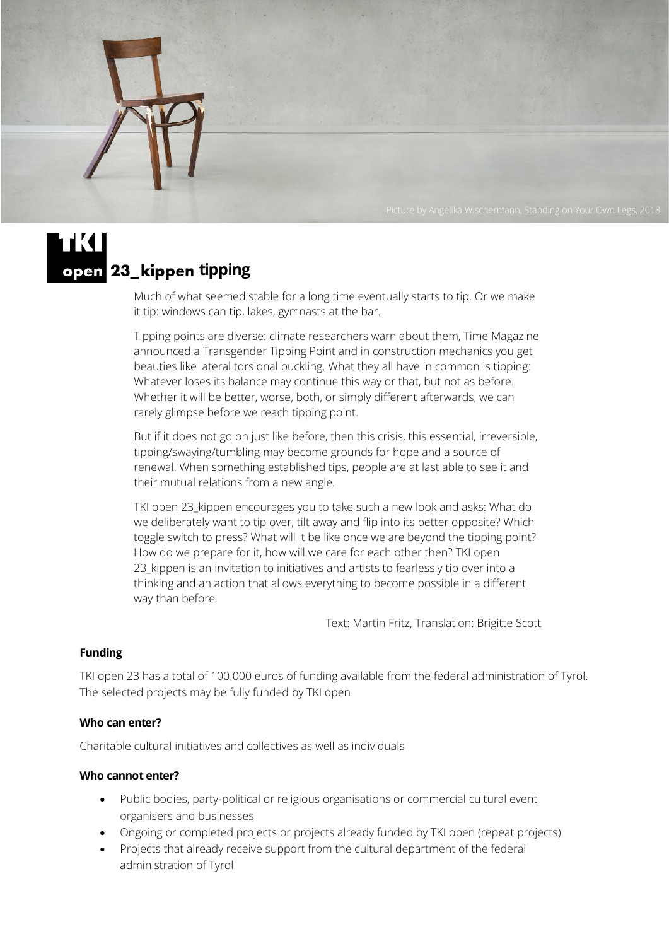

Much of what seemed stable for a long time eventually starts to tip. Or we make it tip: windows can tip, lakes, gymnasts at the bar.

Tipping points are diverse: climate researchers warn about them, Time Magazine announced a Transgender Tipping Point and in construction mechanics you get beauties like lateral torsional buckling. What they all have in common is tipping: Whatever loses its balance may continue this way or that, but not as before. Whether it will be better, worse, both, or simply different afterwards, we can rarely glimpse before we reach tipping point.

But if it does not go on just like before, then this crisis, this essential, irreversible, tipping/swaying/tumbling may become grounds for hope and a source of renewal. When something established tips, people are at last able to see it and their mutual relations from a new angle.

TKI open 23\_kippen encourages you to take such a new look and asks: What do we deliberately want to tip over, tilt away and flip into its better opposite? Which toggle switch to press? What will it be like once we are beyond the tipping point? How do we prepare for it, how will we care for each other then? TKI open 23 kippen is an invitation to initiatives and artists to fearlessly tip over into a thinking and an action that allows everything to become possible in a different way than before.

Text: Martin Fritz, Translation: Brigitte Scott

## **Funding**

TKI open 23 has a total of 100.000 euros of funding available from the federal administration of Tyrol. The selected projects may be fully funded by TKI open.

#### **Who can enter?**

Charitable cultural initiatives and collectives as well as individuals

#### **Who cannot enter?**

- Public bodies, party-political or religious organisations or commercial cultural event organisers and businesses
- Ongoing or completed projects or projects already funded by TKI open (repeat projects)
- Projects that already receive support from the cultural department of the federal administration of Tyrol